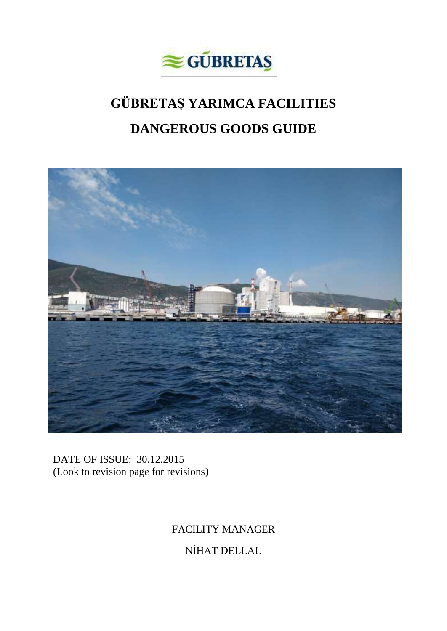

# **GÜBRETAŞ YARIMCA FACILITIES DANGEROUS GOODS GUIDE**



DATE OF ISSUE: 30.12.2015 (Look to revision page for revisions)

# FACILITY MANAGER

NİHAT DELLAL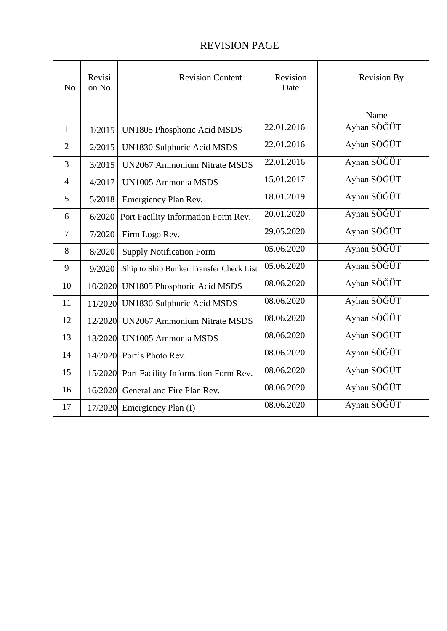# REVISION PAGE

| N <sub>o</sub> | Revisi<br>on No | <b>Revision Content</b>                     | Revision<br>Date | <b>Revision By</b> |
|----------------|-----------------|---------------------------------------------|------------------|--------------------|
|                |                 |                                             |                  | Name               |
| 1              | 1/2015          | UN1805 Phosphoric Acid MSDS                 | 22.01.2016       | Ayhan SÖĞÜT        |
| $\overline{2}$ | 2/2015          | UN1830 Sulphuric Acid MSDS                  | 22.01.2016       | Ayhan SÖĞÜT        |
| 3              | 3/2015          | <b>UN2067 Ammonium Nitrate MSDS</b>         | 22.01.2016       | Ayhan SÖĞÜT        |
| $\overline{4}$ | 4/2017          | <b>UN1005 Ammonia MSDS</b>                  | 15.01.2017       | Ayhan SÖĞÜT        |
| 5              | 5/2018          | Emergiency Plan Rev.                        | 18.01.2019       | Ayhan SÖĞÜT        |
| 6              | 6/2020          | Port Facility Information Form Rev.         | 20.01.2020       | Ayhan SÖĞÜT        |
| $\overline{7}$ | 7/2020          | Firm Logo Rev.                              | 29.05.2020       | Ayhan SÖĞÜT        |
| 8              | 8/2020          | <b>Supply Notification Form</b>             | 05.06.2020       | Ayhan SÖĞÜT        |
| 9              | 9/2020          | Ship to Ship Bunker Transfer Check List     | 05.06.2020       | Ayhan SÖĞÜT        |
| 10             | 10/2020         | UN1805 Phosphoric Acid MSDS                 | 08.06.2020       | Ayhan SÖĞÜT        |
| 11             |                 | 11/2020 UN1830 Sulphuric Acid MSDS          | 08.06.2020       | Ayhan SÖĞÜT        |
| 12             |                 | 12/2020 UN2067 Ammonium Nitrate MSDS        | 08.06.2020       | Ayhan SÖĞÜT        |
| 13             |                 | 13/2020 UN1005 Ammonia MSDS                 | 08.06.2020       | Ayhan SÖĞÜT        |
| 14             |                 | 14/2020 Port's Photo Rev.                   | 08.06.2020       | Ayhan SÖĞÜT        |
| 15             |                 | 15/2020 Port Facility Information Form Rev. | 08.06.2020       | Ayhan SÖĞÜT        |
| 16             | 16/2020         | General and Fire Plan Rev.                  | 08.06.2020       | Ayhan SÖĞÜT        |
| 17             |                 | $17/2020$ Emergiency Plan (I)               | 08.06.2020       | Ayhan SÖĞÜT        |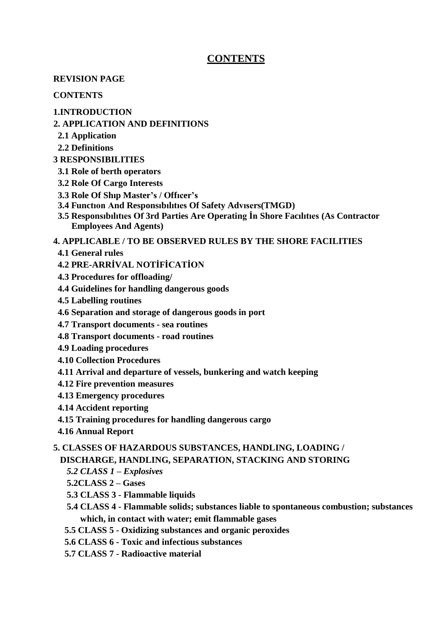# **CONTENTS**

#### **REVISION PAGE**

#### **CONTENTS**

#### **1.INTRODUCTION**

#### **2. APPLICATION AND DEFINITIONS**

- **2.1 Application**
- **2.2 Definitions**

#### **3 RESPONSIBILITIES**

- **3.1 Role of berth operators**
- **3.2 Role Of Cargo Interests**
- **3.3 Role Of Shıp Master's / Offıcer's**
- **3.4 Functıon And Responsıbılıtıes Of Safety Advısers(TMGD)**
- **3.5 Responsıbılıtıes Of 3rd Parties Are Operating İn Shore Facılıtıes (As Contractor Employees And Agents)**

#### **4. APPLICABLE / TO BE OBSERVED RULES BY THE SHORE FACILITIES**

- **4.1 General rules**
- **4.2 PRE-ARRİVAL NOTİFİCATİON**
- **4.3 Procedures for offloading/**
- **4.4 Guidelines for handling dangerous goods**
- **4.5 Labelling routines**
- **4.6 Separation and storage of dangerous goods in port**
- **4.7 Transport documents - sea routines**
- **4.8 Transport documents - road routines**
- **4.9 Loading procedures**
- **4.10 Collection Procedures**
- **4.11 Arrival and departure of vessels, bunkering and watch keeping**
- **4.12 Fire prevention measures**
- **4.13 Emergency procedures**
- **4.14 Accident reporting**
- **4.15 Training procedures for handling dangerous cargo**
- **4.16 Annual Report**

#### **5. CLASSES OF HAZARDOUS SUBSTANCES, HANDLING, LOADING /**

#### **DISCHARGE, HANDLING, SEPARATION, STACKING AND STORING**

- *5.2 CLASS 1 – Explosives*
- **5.2CLASS 2 – Gases**
- **5.3 CLASS 3 - Flammable liquids**
- **5.4 CLASS 4 - Flammable solids; substances liable to spontaneous combustion; substances which, in contact with water; emit flammable gases**
- **5.5 CLASS 5 - Oxidizing substances and organic peroxides**
- **5.6 CLASS 6 - Toxic and infectious substances**
- **5.7 CLASS 7 - Radioactive material**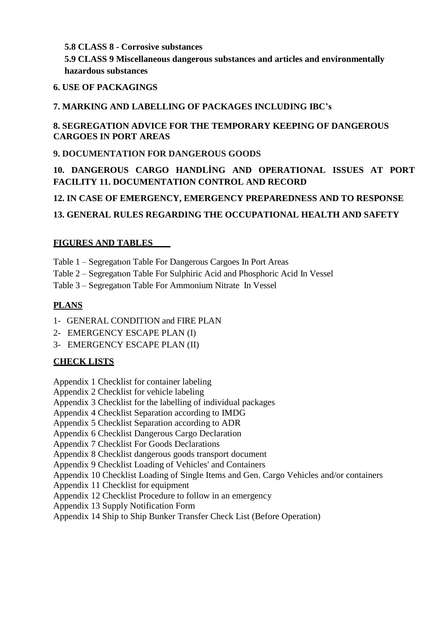#### **5.8 CLASS 8 - Corrosive substances**

**5.9 CLASS 9 Miscellaneous dangerous substances and articles and environmentally hazardous substances**

#### **6. USE OF PACKAGINGS**

## **7. MARKING AND LABELLING OF PACKAGES INCLUDING IBC's**

#### **8. SEGREGATION ADVICE FOR THE TEMPORARY KEEPING OF DANGEROUS CARGOES IN PORT AREAS**

## **9. DOCUMENTATION FOR DANGEROUS GOODS**

# **10. DANGEROUS CARGO HANDLİNG AND OPERATIONAL ISSUES AT PORT FACILITY 11. DOCUMENTATION CONTROL AND RECORD**

# **12. IN CASE OF EMERGENCY, EMERGENCY PREPAREDNESS AND TO RESPONSE**

# **13. GENERAL RULES REGARDING THE OCCUPATIONAL HEALTH AND SAFETY**

### **FIGURES AND TABLES**

- Table 1 Segregatıon Table For Dangerous Cargoes In Port Areas
- Table 2 Segregatıon Table For Sulphiric Acid and Phosphoric Acid In Vessel
- Table 3 Segregatıon Table For Ammonium Nitrate In Vessel

### **PLANS**

- 1- GENERAL CONDITION and FIRE PLAN
- 2- EMERGENCY ESCAPE PLAN (I)
- 3- EMERGENCY ESCAPE PLAN (II)

#### **CHECK LISTS**

- Appendix 1 Checklist for container labeling
- Appendix 2 Checklist for vehicle labeling
- Appendix 3 Checklist for the labelling of individual packages
- Appendix 4 Checklist Separation according to IMDG
- Appendix 5 Checklist Separation according to ADR
- Appendix 6 Checklist Dangerous Cargo Declaration
- Appendix 7 Checklist For Goods Declarations
- Appendix 8 Checklist dangerous goods transport document
- Appendix 9 Checklist Loading of Vehicles' and Containers
- Appendix 10 Checklist Loading of Single Items and Gen. Cargo Vehicles and/or containers
- Appendix 11 Checklist for equipment
- Appendix 12 Checklist Procedure to follow in an emergency
- Appendix 13 Supply Notification Form
- Appendix 14 Ship to Ship Bunker Transfer Check List (Before Operation)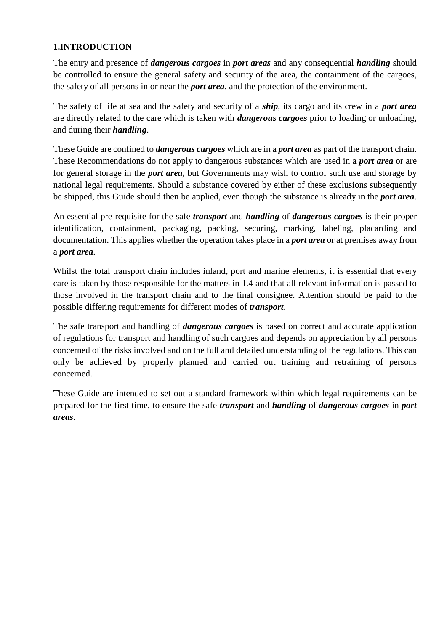## **1.INTRODUCTION**

The entry and presence of *dangerous cargoes* in *port areas* and any consequential *handling* should be controlled to ensure the general safety and security of the area, the containment of the cargoes, the safety of all persons in or near the *port area*, and the protection of the environment.

The safety of life at sea and the safety and security of a *ship*, its cargo and its crew in a *port area*  are directly related to the care which is taken with *dangerous cargoes* prior to loading or unloading, and during their *handling*.

These Guide are confined to *dangerous cargoes* which are in a *port area* as part of the transport chain. These Recommendations do not apply to dangerous substances which are used in a *port area* or are for general storage in the *port area***,** but Governments may wish to control such use and storage by national legal requirements. Should a substance covered by either of these exclusions subsequently be shipped, this Guide should then be applied, even though the substance is already in the *port area*.

An essential pre-requisite for the safe *transport* and *handling* of *dangerous cargoes* is their proper identification, containment, packaging, packing, securing, marking, labeling, placarding and documentation. This applies whether the operation takes place in a *port area* or at premises away from a *port area*.

Whilst the total transport chain includes inland, port and marine elements, it is essential that every care is taken by those responsible for the matters in 1.4 and that all relevant information is passed to those involved in the transport chain and to the final consignee. Attention should be paid to the possible differing requirements for different modes of *transport*.

The safe transport and handling of *dangerous cargoes* is based on correct and accurate application of regulations for transport and handling of such cargoes and depends on appreciation by all persons concerned of the risks involved and on the full and detailed understanding of the regulations. This can only be achieved by properly planned and carried out training and retraining of persons concerned.

These Guide are intended to set out a standard framework within which legal requirements can be prepared for the first time, to ensure the safe *transport* and *handling* of *dangerous cargoes* in *port areas*.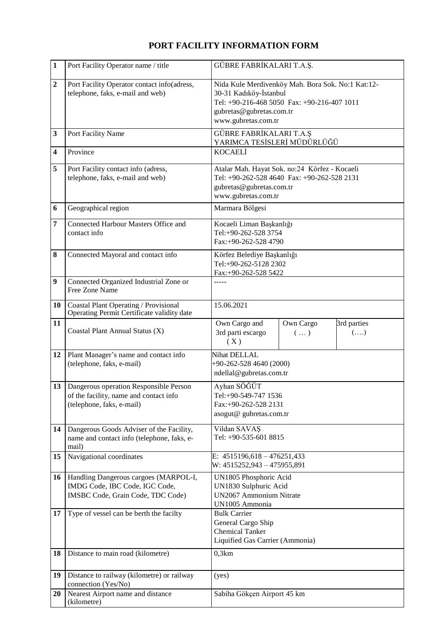# **PORT FACILITY INFORMATION FORM**

| $\mathbf{1}$            | Port Facility Operator name / title                                                                           | GÜBRE FABRİKALARI T.A.Ş.                                                                                                                                                      |  |  |  |
|-------------------------|---------------------------------------------------------------------------------------------------------------|-------------------------------------------------------------------------------------------------------------------------------------------------------------------------------|--|--|--|
| $\overline{2}$          | Port Facility Operator contact info(adress,<br>telephone, faks, e-mail and web)                               | Nida Kule Merdivenköy Mah. Bora Sok. No:1 Kat:12-<br>30-31 Kadıköy-İstanbul<br>Tel: +90-216-468 5050 Fax: +90-216-407 1011<br>gubretas@gubretas.com.tr<br>www.gubretas.com.tr |  |  |  |
| 3                       | Port Facility Name                                                                                            | GÜBRE FABRİKALARI T.A.Ş<br>YARIMCA TESİSLERİ MÜDÜRLÜĞÜ                                                                                                                        |  |  |  |
| $\overline{\mathbf{4}}$ | Province                                                                                                      | <b>KOCAELİ</b>                                                                                                                                                                |  |  |  |
| 5                       | Port Facility contact info (adress,<br>telephone, faks, e-mail and web)                                       | Atalar Mah. Hayat Sok. no:24 Körfez - Kocaeli<br>Tel: +90-262-528 4640 Fax: +90-262-528 2131<br>gubretas@gubretas.com.tr<br>www.gubretas.com.tr                               |  |  |  |
| 6                       | Geographical region                                                                                           | Marmara Bölgesi                                                                                                                                                               |  |  |  |
| 7                       | Connected Harbour Masters Office and<br>contact info                                                          | Kocaeli Liman Başkanlığı<br>Tel:+90-262-528 3754<br>Fax:+90-262-528 4790                                                                                                      |  |  |  |
| 8                       | Connected Mayoral and contact info                                                                            | Körfez Belediye Başkanlığı<br>Tel:+90-262-5128 2302<br>Fax:+90-262-528 5422                                                                                                   |  |  |  |
| $\boldsymbol{9}$        | Connected Organized Industrial Zone or<br>Free Zone Name                                                      | -----                                                                                                                                                                         |  |  |  |
| 10                      | <b>Coastal Plant Operating / Provisional</b><br>Operating Permit Certificate validity date                    | 15.06.2021                                                                                                                                                                    |  |  |  |
| 11                      | Coastal Plant Annual Status (X)                                                                               | 3rd parties<br>Own Cargo and<br>Own Cargo<br>3rd parti escargo<br>$(\ldots)$<br>$(\ldots)$<br>(X)                                                                             |  |  |  |
| 12                      | Plant Manager's name and contact info<br>(telephone, faks, e-mail)                                            | <b>Nihat DELLAL</b><br>+90-262-528 4640 (2000)<br>ndellal@gubretas.com.tr                                                                                                     |  |  |  |
| 13                      | Dangerous operation Responsible Person<br>of the facility, name and contact info<br>(telephone, faks, e-mail) | Ayhan SÖĞÜT<br>Tel:+90-549-747 1536<br>Fax:+90-262-528 2131<br>asogut@ gubretas.com.tr                                                                                        |  |  |  |
| 14                      | Dangerous Goods Adviser of the Facility,<br>name and contact info (telephone, faks, e-<br>mail)               | Vildan SAVAŞ<br>Tel: +90-535-601 8815                                                                                                                                         |  |  |  |
| 15                      | Navigational coordinates                                                                                      | E: $4515196,618 - 476251,433$<br>W: 4515252,943 - 475955,891                                                                                                                  |  |  |  |
| 16                      | Handling Dangerous cargoes (MARPOL-I,<br>IMDG Code, IBC Code, IGC Code,<br>IMSBC Code, Grain Code, TDC Code)  | UN1805 Phosphoric Acid<br>UN1830 Sulphuric Acid<br>UN2067 Ammonium Nitrate<br>UN1005 Ammonia                                                                                  |  |  |  |
| 17                      | Type of vessel can be berth the facilty                                                                       | <b>Bulk Carrier</b><br>General Cargo Ship<br><b>Chemical Tanker</b><br>Liquified Gas Carrier (Ammonia)                                                                        |  |  |  |
| 18                      | Distance to main road (kilometre)                                                                             | 0,3km                                                                                                                                                                         |  |  |  |
| 19                      | Distance to railway (kilometre) or railway<br>connection (Yes/No)                                             | (yes)                                                                                                                                                                         |  |  |  |
| 20                      | Nearest Airport name and distance<br>(kilometre)                                                              | Sabiha Gökçen Airport 45 km                                                                                                                                                   |  |  |  |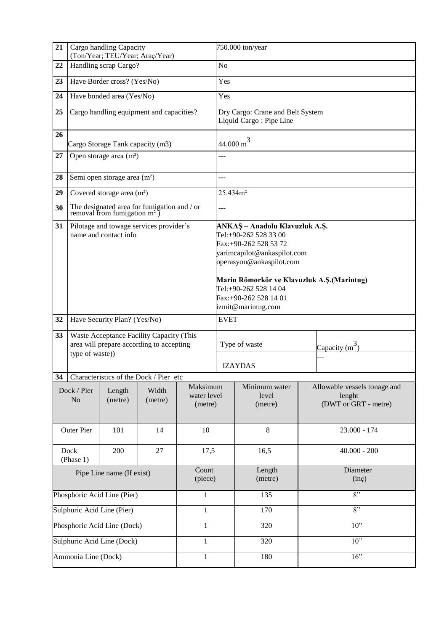| 21                                          | Cargo handling Capacity                                                                                 | (Ton/Year; TEU/Year; Araç/Year)          |                                           | 750.000 ton/year                   |                |                                                                                                                                             |        |                                                                |  |
|---------------------------------------------|---------------------------------------------------------------------------------------------------------|------------------------------------------|-------------------------------------------|------------------------------------|----------------|---------------------------------------------------------------------------------------------------------------------------------------------|--------|----------------------------------------------------------------|--|
| 22                                          | Handling scrap Cargo?                                                                                   |                                          |                                           |                                    | N <sub>o</sub> |                                                                                                                                             |        |                                                                |  |
| 23                                          |                                                                                                         | Have Border cross? (Yes/No)              |                                           |                                    | Yes            |                                                                                                                                             |        |                                                                |  |
| 24                                          | Have bonded area (Yes/No)                                                                               |                                          |                                           |                                    |                | Yes                                                                                                                                         |        |                                                                |  |
| 25                                          | Cargo handling equipment and capacities?                                                                |                                          |                                           |                                    |                | Dry Cargo: Crane and Belt System<br>Liquid Cargo: Pipe Line                                                                                 |        |                                                                |  |
| 26                                          | Cargo Storage Tank capacity (m3)                                                                        |                                          |                                           |                                    |                | $44.000 \text{ m}^3$                                                                                                                        |        |                                                                |  |
| 27                                          | Open storage area $(m2)$                                                                                |                                          |                                           |                                    |                |                                                                                                                                             |        |                                                                |  |
| 28                                          |                                                                                                         | Semi open storage area (m <sup>2</sup> ) |                                           |                                    | $---$          |                                                                                                                                             |        |                                                                |  |
| 29                                          | Covered storage area (m <sup>2</sup> )                                                                  |                                          |                                           |                                    |                | 25.434m <sup>2</sup>                                                                                                                        |        |                                                                |  |
| 30                                          | The designated area for fumigation and / or<br>removal from fumigation $m^2$ )                          |                                          |                                           |                                    |                | $---$                                                                                                                                       |        |                                                                |  |
| 31                                          | Pilotage and towage services provider's<br>name and contact info                                        |                                          |                                           |                                    |                | ANKAŞ - Anadolu Klavuzluk A.Ş.<br>Tel:+90-262 528 33 00<br>Fax:+90-262 528 53 72<br>yarimcapilot@ankaspilot.com<br>operasyon@ankaspilot.com |        |                                                                |  |
|                                             |                                                                                                         |                                          |                                           |                                    |                | Marin Römorkör ve Klavuzluk A.Ş.(Marintug)<br>Tel:+90-262 528 14 04<br>Fax:+90-262 528 14 01<br>izmit@marintug.com                          |        |                                                                |  |
| 32                                          |                                                                                                         | Have Security Plan? (Yes/No)             |                                           |                                    | <b>EVET</b>    |                                                                                                                                             |        |                                                                |  |
| 33 <sup>2</sup>                             | Waste Acceptance Facility Capacity (This<br>area will prepare according to accepting<br>type of waste)) |                                          |                                           |                                    |                | Type of waste                                                                                                                               |        | Capacity $(m^3)$                                               |  |
|                                             |                                                                                                         |                                          |                                           |                                    |                | <b>IZAYDAS</b>                                                                                                                              |        |                                                                |  |
|                                             |                                                                                                         |                                          | 34 Characteristics of the Dock / Pier etc |                                    |                |                                                                                                                                             |        |                                                                |  |
| Dock / Pier<br>No                           |                                                                                                         | Length<br>(metre)                        | Width<br>(metre)                          | Maksimum<br>water level<br>(metre) |                | Minimum water<br>level<br>(metre)                                                                                                           |        | Allowable vessels tonage and<br>lenght<br>(DWT or GRT - metre) |  |
| <b>Outer Pier</b>                           |                                                                                                         | 101                                      | 14                                        | 10                                 |                | 8                                                                                                                                           |        | 23.000 - 174                                                   |  |
| Dock<br>(Phase 1)                           |                                                                                                         | 200                                      | 27                                        | 17,5                               |                | 16,5                                                                                                                                        |        | $40.000 - 200$                                                 |  |
| Pipe Line name (If exist)                   |                                                                                                         |                                          |                                           | Count<br>(piece)                   |                | Length<br>(metre)                                                                                                                           |        | Diameter<br>(inç)                                              |  |
| Phosphoric Acid Line (Pier)<br>1            |                                                                                                         |                                          |                                           |                                    | 135            |                                                                                                                                             | 8"     |                                                                |  |
| Sulphuric Acid Line (Pier)<br>$\mathbf{1}$  |                                                                                                         |                                          |                                           |                                    | 170            |                                                                                                                                             | 8"     |                                                                |  |
| Phosphoric Acid Line (Dock)<br>$\mathbf{1}$ |                                                                                                         |                                          |                                           |                                    | 320            |                                                                                                                                             | $10$ " |                                                                |  |
| Sulphuric Acid Line (Dock)                  |                                                                                                         |                                          |                                           | $\mathbf{1}$                       |                | 320                                                                                                                                         |        | $10$ "                                                         |  |
| Ammonia Line (Dock)                         |                                                                                                         |                                          |                                           | $\mathbf{1}$                       |                | 180                                                                                                                                         |        | 16"                                                            |  |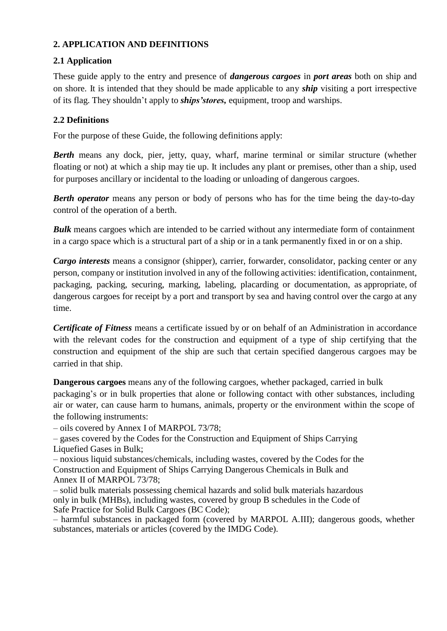#### **2. APPLICATION AND DEFINITIONS**

## **2.1 Application**

These guide apply to the entry and presence of *dangerous cargoes* in *port areas* both on ship and on shore. It is intended that they should be made applicable to any *ship* visiting a port irrespective of its flag. They shouldn't apply to *ships'stores,* equipment, troop and warships.

## **2.2 Definitions**

For the purpose of these Guide, the following definitions apply:

*Berth* means any dock, pier, jetty, quay, wharf, marine terminal or similar structure (whether floating or not) at which a ship may tie up. It includes any plant or premises, other than a ship, used for purposes ancillary or incidental to the loading or unloading of dangerous cargoes.

*Berth operator* means any person or body of persons who has for the time being the day-to-day control of the operation of a berth.

*Bulk* means cargoes which are intended to be carried without any intermediate form of containment in a cargo space which is a structural part of a ship or in a tank permanently fixed in or on a ship.

*Cargo interests* means a consignor (shipper), carrier, forwarder, consolidator, packing center or any person, company or institution involved in any of the following activities: identification, containment, packaging, packing, securing, marking, labeling, placarding or documentation, as appropriate, of dangerous cargoes for receipt by a port and transport by sea and having control over the cargo at any time.

*Certificate of Fitness* means a certificate issued by or on behalf of an Administration in accordance with the relevant codes for the construction and equipment of a type of ship certifying that the construction and equipment of the ship are such that certain specified dangerous cargoes may be carried in that ship.

**Dangerous cargoes** means any of the following cargoes, whether packaged, carried in bulk packaging's or in bulk properties that alone or following contact with other substances, including air or water, can cause harm to humans, animals, property or the environment within the scope of the following instruments:

– oils covered by Annex I of MARPOL 73/78;

– gases covered by the Codes for the Construction and Equipment of Ships Carrying Liquefied Gases in Bulk;

– noxious liquid substances/chemicals, including wastes, covered by the Codes for the Construction and Equipment of Ships Carrying Dangerous Chemicals in Bulk and Annex II of MARPOL 73/78;

– solid bulk materials possessing chemical hazards and solid bulk materials hazardous only in bulk (MHBs), including wastes, covered by group B schedules in the Code of Safe Practice for Solid Bulk Cargoes (BC Code);

– harmful substances in packaged form (covered by MARPOL A.III); dangerous goods, whether substances, materials or articles (covered by the IMDG Code).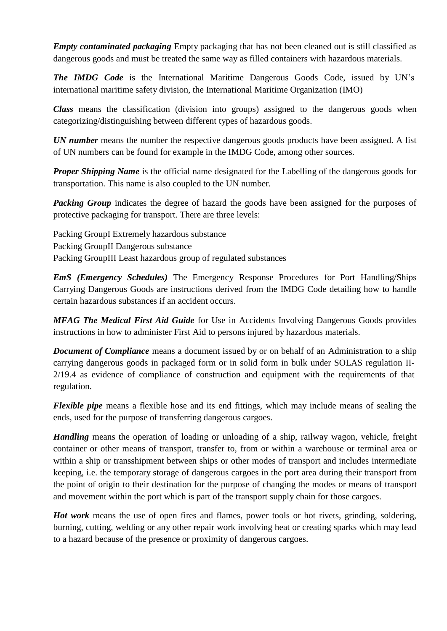*Empty contaminated packaging* Empty packaging that has not been cleaned out is still classified as dangerous goods and must be treated the same way as filled containers with hazardous materials.

**The IMDG Code** is the International Maritime Dangerous Goods Code, issued by UN's international maritime safety division, the International Maritime Organization (IMO)

*Class* means the classification (division into groups) assigned to the dangerous goods when categorizing/distinguishing between different types of hazardous goods.

*UN number* means the number the respective dangerous goods products have been assigned. A list of UN numbers can be found for example in the IMDG Code, among other sources.

*Proper Shipping Name* is the official name designated for the Labelling of the dangerous goods for transportation. This name is also coupled to the UN number.

*Packing Group* indicates the degree of hazard the goods have been assigned for the purposes of protective packaging for transport. There are three levels:

Packing GroupI Extremely hazardous substance Packing GroupII Dangerous substance Packing GroupIII Least hazardous group of regulated substances

*EmS (Emergency Schedules)* The Emergency Response Procedures for Port Handling/Ships Carrying Dangerous Goods are instructions derived from the IMDG Code detailing how to handle certain hazardous substances if an accident occurs.

*MFAG The Medical First Aid Guide* for Use in Accidents Involving Dangerous Goods provides instructions in how to administer First Aid to persons injured by hazardous materials.

*Document of Compliance* means a document issued by or on behalf of an Administration to a ship carrying dangerous goods in packaged form or in solid form in bulk under SOLAS regulation II-2/19.4 as evidence of compliance of construction and equipment with the requirements of that regulation.

*Flexible pipe* means a flexible hose and its end fittings, which may include means of sealing the ends, used for the purpose of transferring dangerous cargoes.

*Handling* means the operation of loading or unloading of a ship, railway wagon, vehicle, freight container or other means of transport, transfer to, from or within a warehouse or terminal area or within a ship or transshipment between ships or other modes of transport and includes intermediate keeping, i.e. the temporary storage of dangerous cargoes in the port area during their transport from the point of origin to their destination for the purpose of changing the modes or means of transport and movement within the port which is part of the transport supply chain for those cargoes.

*Hot work* means the use of open fires and flames, power tools or hot rivets, grinding, soldering, burning, cutting, welding or any other repair work involving heat or creating sparks which may lead to a hazard because of the presence or proximity of dangerous cargoes.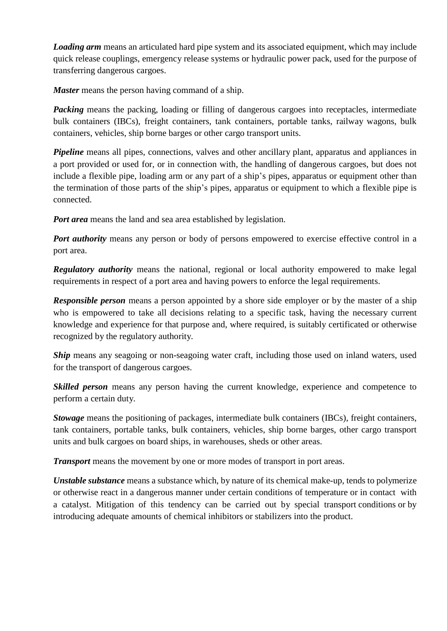*Loading arm* means an articulated hard pipe system and its associated equipment, which may include quick release couplings, emergency release systems or hydraulic power pack, used for the purpose of transferring dangerous cargoes.

*Master* means the person having command of a ship.

*Packing* means the packing, loading or filling of dangerous cargoes into receptacles, intermediate bulk containers (IBCs), freight containers, tank containers, portable tanks, railway wagons, bulk containers, vehicles, ship borne barges or other cargo transport units.

*Pipeline* means all pipes, connections, valves and other ancillary plant, apparatus and appliances in a port provided or used for, or in connection with, the handling of dangerous cargoes, but does not include a flexible pipe, loading arm or any part of a ship's pipes, apparatus or equipment other than the termination of those parts of the ship's pipes, apparatus or equipment to which a flexible pipe is connected.

*Port area* means the land and sea area established by legislation.

*Port authority* means any person or body of persons empowered to exercise effective control in a port area.

*Regulatory authority* means the national, regional or local authority empowered to make legal requirements in respect of a port area and having powers to enforce the legal requirements.

**Responsible person** means a person appointed by a shore side employer or by the master of a ship who is empowered to take all decisions relating to a specific task, having the necessary current knowledge and experience for that purpose and, where required, is suitably certificated or otherwise recognized by the regulatory authority.

**Ship** means any seagoing or non-seagoing water craft, including those used on inland waters, used for the transport of dangerous cargoes.

**Skilled person** means any person having the current knowledge, experience and competence to perform a certain duty.

*Stowage* means the positioning of packages, intermediate bulk containers (IBCs), freight containers, tank containers, portable tanks, bulk containers, vehicles, ship borne barges, other cargo transport units and bulk cargoes on board ships, in warehouses, sheds or other areas.

*Transport* means the movement by one or more modes of transport in port areas.

*Unstable substance* means a substance which, by nature of its chemical make-up, tends to polymerize or otherwise react in a dangerous manner under certain conditions of temperature or in contact with a catalyst. Mitigation of this tendency can be carried out by special transport conditions or by introducing adequate amounts of chemical inhibitors or stabilizers into the product.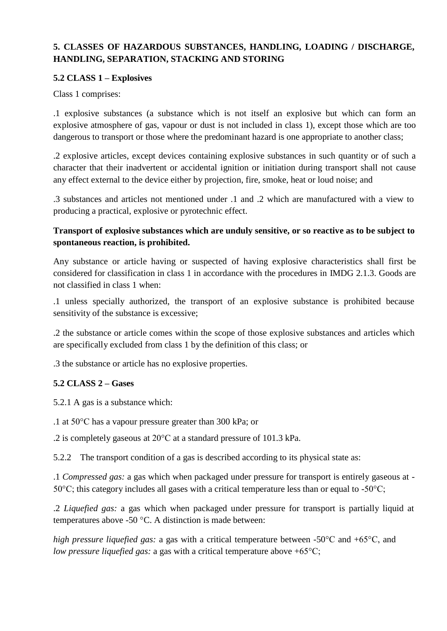# **5. CLASSES OF HAZARDOUS SUBSTANCES, HANDLING, LOADING / DISCHARGE, HANDLING, SEPARATION, STACKING AND STORING**

#### **5.2 CLASS 1 – Explosives**

Class 1 comprises:

.1 explosive substances (a substance which is not itself an explosive but which can form an explosive atmosphere of gas, vapour or dust is not included in class 1), except those which are too dangerous to transport or those where the predominant hazard is one appropriate to another class;

.2 explosive articles, except devices containing explosive substances in such quantity or of such a character that their inadvertent or accidental ignition or initiation during transport shall not cause any effect external to the device either by projection, fire, smoke, heat or loud noise; and

.3 substances and articles not mentioned under .1 and .2 which are manufactured with a view to producing a practical, explosive or pyrotechnic effect.

# **Transport of explosive substances which are unduly sensitive, or so reactive as to be subject to spontaneous reaction, is prohibited.**

Any substance or article having or suspected of having explosive characteristics shall first be considered for classification in class 1 in accordance with the procedures in IMDG 2.1.3. Goods are not classified in class 1 when:

.1 unless specially authorized, the transport of an explosive substance is prohibited because sensitivity of the substance is excessive;

.2 the substance or article comes within the scope of those explosive substances and articles which are specifically excluded from class 1 by the definition of this class; or

.3 the substance or article has no explosive properties.

# **5.2 CLASS 2 – Gases**

5.2.1 A gas is a substance which:

.1 at 50°C has a vapour pressure greater than 300 kPa; or

.2 is completely gaseous at 20°C at a standard pressure of 101.3 kPa.

5.2.2 The transport condition of a gas is described according to its physical state as:

.1 *Compressed gas:* a gas which when packaged under pressure for transport is entirely gaseous at -  $50^{\circ}$ C; this category includes all gases with a critical temperature less than or equal to -50 $^{\circ}$ C;

.2 *Liquefied gas:* a gas which when packaged under pressure for transport is partially liquid at temperatures above -50 °C. A distinction is made between:

*high pressure liquefied gas:* a gas with a critical temperature between -50°C and +65°C, and *low pressure liquefied gas:* a gas with a critical temperature above +65°C;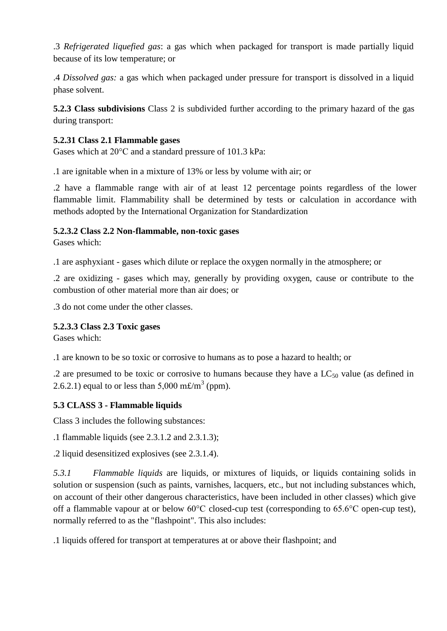.3 *Refrigerated liquefied gas*: a gas which when packaged for transport is made partially liquid because of its low temperature; or

.4 *Dissolved gas:* a gas which when packaged under pressure for transport is dissolved in a liquid phase solvent.

**5.2.3 Class subdivisions** Class 2 is subdivided further according to the primary hazard of the gas during transport:

#### **5.2.31 Class 2.1 Flammable gases**

Gases which at 20°C and a standard pressure of 101.3 kPa:

.1 are ignitable when in a mixture of 13% or less by volume with air; or

.2 have a flammable range with air of at least 12 percentage points regardless of the lower flammable limit. Flammability shall be determined by tests or calculation in accordance with methods adopted by the International Organization for Standardization

### **5.2.3.2 Class 2.2 Non-flammable, non-toxic gases**

Gases which:

.1 are asphyxiant - gases which dilute or replace the oxygen normally in the atmosphere; or

.2 are oxidizing - gases which may, generally by providing oxygen, cause or contribute to the combustion of other material more than air does; or

.3 do not come under the other classes.

# **5.2.3.3 Class 2.3 Toxic gases**

Gases which:

.1 are known to be so toxic or corrosive to humans as to pose a hazard to health; or

.2 are presumed to be toxic or corrosive to humans because they have a  $LC_{50}$  value (as defined in 2.6.2.1) equal to or less than  $5,000 \text{ m} \text{\textsterling} / \text{m}^3$  (ppm).

# **5.3 CLASS 3 - Flammable liquids**

Class 3 includes the following substances:

.1 flammable liquids (see 2.3.1.2 and 2.3.1.3);

.2 liquid desensitized explosives (see 2.3.1.4).

*5.3.1 Flammable liquids* are liquids, or mixtures of liquids, or liquids containing solids in solution or suspension (such as paints, varnishes, lacquers, etc., but not including substances which, on account of their other dangerous characteristics, have been included in other classes) which give off a flammable vapour at or below 60°C closed-cup test (corresponding to 65.6°C open-cup test), normally referred to as the "flashpoint". This also includes:

.1 liquids offered for transport at temperatures at or above their flashpoint; and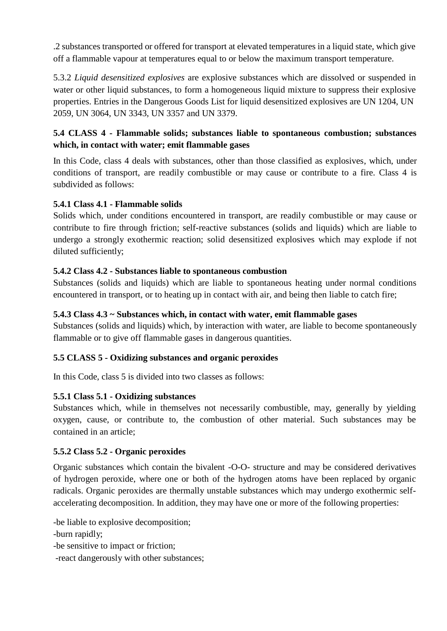.2 substances transported or offered for transport at elevated temperatures in a liquid state, which give off a flammable vapour at temperatures equal to or below the maximum transport temperature.

5.3.2 *Liquid desensitized explosives* are explosive substances which are dissolved or suspended in water or other liquid substances, to form a homogeneous liquid mixture to suppress their explosive properties. Entries in the Dangerous Goods List for liquid desensitized explosives are UN 1204, UN 2059, UN 3064, UN 3343, UN 3357 and UN 3379.

# **5.4 CLASS 4 - Flammable solids; substances liable to spontaneous combustion; substances which, in contact with water; emit flammable gases**

In this Code, class 4 deals with substances, other than those classified as explosives, which, under conditions of transport, are readily combustible or may cause or contribute to a fire. Class 4 is subdivided as follows:

### **5.4.1 Class 4.1 - Flammable solids**

Solids which, under conditions encountered in transport, are readily combustible or may cause or contribute to fire through friction; self-reactive substances (solids and liquids) which are liable to undergo a strongly exothermic reaction; solid desensitized explosives which may explode if not diluted sufficiently;

#### **5.4.2 Class 4.2 - Substances liable to spontaneous combustion**

Substances (solids and liquids) which are liable to spontaneous heating under normal conditions encountered in transport, or to heating up in contact with air, and being then liable to catch fire;

# **5.4.3 Class 4.3 ~ Substances which, in contact with water, emit flammable gases**

Substances (solids and liquids) which, by interaction with water, are liable to become spontaneously flammable or to give off flammable gases in dangerous quantities.

#### **5.5 CLASS 5 - Oxidizing substances and organic peroxides**

In this Code, class 5 is divided into two classes as follows:

#### **5.5.1 Class 5.1 - Oxidizing substances**

Substances which, while in themselves not necessarily combustible, may, generally by yielding oxygen, cause, or contribute to, the combustion of other material. Such substances may be contained in an article;

#### **5.5.2 Class 5.2 - Organic peroxides**

Organic substances which contain the bivalent -O-O- structure and may be considered derivatives of hydrogen peroxide, where one or both of the hydrogen atoms have been replaced by organic radicals. Organic peroxides are thermally unstable substances which may undergo exothermic selfaccelerating decomposition. In addition, they may have one or more of the following properties:

-be liable to explosive decomposition;

-burn rapidly;

-be sensitive to impact or friction;

-react dangerously with other substances;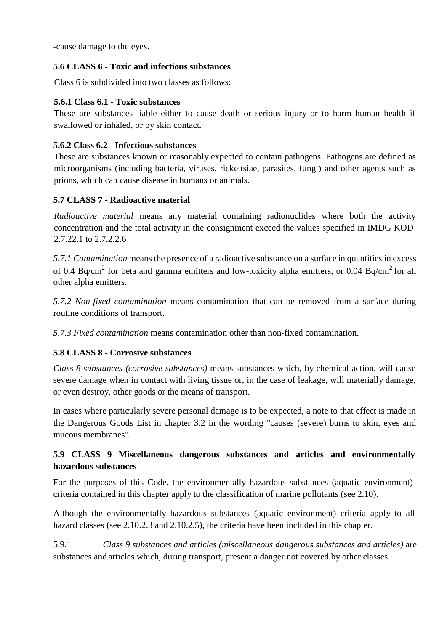-cause damage to the eyes.

#### **5.6 CLASS 6 - Toxic and infectious substances**

Class 6 is subdivided into two classes as follows:

#### **5.6.1 Class 6.1 - Toxic substances**

These are substances liable either to cause death or serious injury or to harm human health if swallowed or inhaled, or by skin contact.

#### **5.6.2 Class 6.2 - Infectious substances**

These are substances known or reasonably expected to contain pathogens. Pathogens are defined as microorganisms (including bacteria, viruses, rickettsiae, parasites, fungi) and other agents such as prions, which can cause disease in humans or animals.

#### **5.7 CLASS 7 - Radioactive material**

*Radioactive material* means any material containing radionuclides where both the activity concentration and the total activity in the consignment exceed the values specified in IMDG KOD 2.7.22.1 to 2.7.2.2.6

*5.7.1 Contamination* means the presence of a radioactive substance on a surface in quantities in excess of 0.4 Bq/cm<sup>2</sup> for beta and gamma emitters and low-toxicity alpha emitters, or 0.04 Bq/cm<sup>2</sup> for all other alpha emitters.

*5.7.2 Non-fixed contamination* means contamination that can be removed from a surface during routine conditions of transport.

*5.7.3 Fixed contamination* means contamination other than non-fixed contamination.

#### **5.8 CLASS 8 - Corrosive substances**

*Class 8 substances (corrosive substances)* means substances which, by chemical action, will cause severe damage when in contact with living tissue or, in the case of leakage, will materially damage, or even destroy, other goods or the means of transport.

In cases where particularly severe personal damage is to be expected, a note to that effect is made in the Dangerous Goods List in chapter 3.2 in the wording "causes (severe) burns to skin, eyes and mucous membranes".

# **5.9 CLASS 9 Miscellaneous dangerous substances and articles and environmentally hazardous substances**

For the purposes of this Code, the environmentally hazardous substances (aquatic environment) criteria contained in this chapter apply to the classification of marine pollutants (see 2.10).

Although the environmentally hazardous substances (aquatic environment) criteria apply to all hazard classes (see 2.10.2.3 and 2.10.2.5), the criteria have been included in this chapter.

5.9.1 *Class 9 substances and articles (miscellaneous dangerous substances and articles)* are substances and articles which, during transport, present a danger not covered by other classes.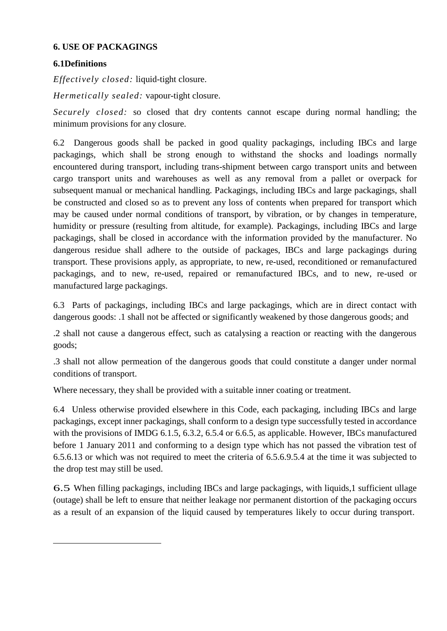#### **6. USE OF PACKAGINGS**

### **6.1Definitions**

*Effectively closed:* liquid-tight closure.

*Hermetically sealed:* vapour-tight closure.

*Securely closed:* so closed that dry contents cannot escape during normal handling; the minimum provisions for any closure.

6.2 Dangerous goods shall be packed in good quality packagings, including IBCs and large packagings, which shall be strong enough to withstand the shocks and loadings normally encountered during transport, including trans-shipment between cargo transport units and between cargo transport units and warehouses as well as any removal from a pallet or overpack for subsequent manual or mechanical handling. Packagings, including IBCs and large packagings, shall be constructed and closed so as to prevent any loss of contents when prepared for transport which may be caused under normal conditions of transport, by vibration, or by changes in temperature, humidity or pressure (resulting from altitude, for example). Packagings, including IBCs and large packagings, shall be closed in accordance with the information provided by the manufacturer. No dangerous residue shall adhere to the outside of packages, IBCs and large packagings during transport. These provisions apply, as appropriate, to new, re-used, reconditioned or remanufactured packagings, and to new, re-used, repaired or remanufactured IBCs, and to new, re-used or manufactured large packagings.

6.3 Parts of packagings, including IBCs and large packagings, which are in direct contact with dangerous goods: .1 shall not be affected or significantly weakened by those dangerous goods; and

.2 shall not cause a dangerous effect, such as catalysing a reaction or reacting with the dangerous goods;

.3 shall not allow permeation of the dangerous goods that could constitute a danger under normal conditions of transport.

Where necessary, they shall be provided with a suitable inner coating or treatment.

6.4 Unless otherwise provided elsewhere in this Code, each packaging, including IBCs and large packagings, except inner packagings, shall conform to a design type successfully tested in accordance with the provisions of IMDG 6.1.5, 6.3.2, 6.5.4 or 6.6.5, as applicable. However, IBCs manufactured before 1 January 2011 and conforming to a design type which has not passed the vibration test of 6.5.6.13 or which was not required to meet the criteria of 6.5.6.9.5.4 at the time it was subjected to the drop test may still be used.

6.5 When filling packagings, including IBCs and large packagings, with liquids,1 sufficient ullage (outage) shall be left to ensure that neither leakage nor permanent distortion of the packaging occurs as a result of an expansion of the liquid caused by temperatures likely to occur during transport.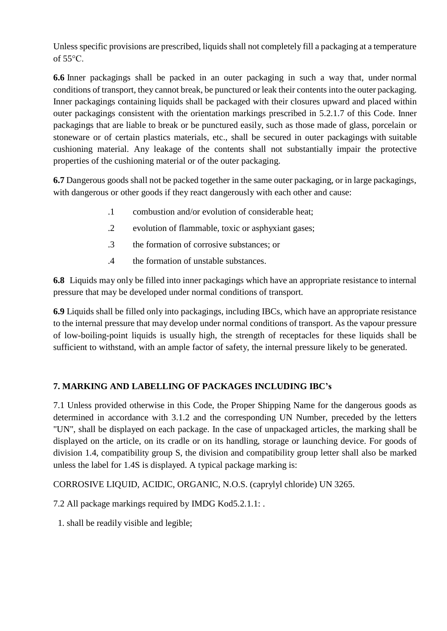Unless specific provisions are prescribed, liquids shall not completely fill a packaging at a temperature of 55°C.

**6.6** Inner packagings shall be packed in an outer packaging in such a way that, under normal conditions of transport, they cannot break, be punctured or leak their contents into the outer packaging. Inner packagings containing liquids shall be packaged with their closures upward and placed within outer packagings consistent with the orientation markings prescribed in 5.2.1.7 of this Code. Inner packagings that are liable to break or be punctured easily, such as those made of glass, porcelain or stoneware or of certain plastics materials, etc., shall be secured in outer packagings with suitable cushioning material. Any leakage of the contents shall not substantially impair the protective properties of the cushioning material or of the outer packaging.

**6.7** Dangerous goods shall not be packed together in the same outer packaging, or in large packagings, with dangerous or other goods if they react dangerously with each other and cause:

- .1 combustion and/or evolution of considerable heat;
- .2 evolution of flammable, toxic or asphyxiant gases;
- .3 the formation of corrosive substances; or
- .4 the formation of unstable substances.

**6.8** Liquids may only be filled into inner packagings which have an appropriate resistance to internal pressure that may be developed under normal conditions of transport.

**6.9** Liquids shall be filled only into packagings, including IBCs, which have an appropriate resistance to the internal pressure that may develop under normal conditions of transport. As the vapour pressure of low-boiling-point liquids is usually high, the strength of receptacles for these liquids shall be sufficient to withstand, with an ample factor of safety, the internal pressure likely to be generated.

# **7. MARKING AND LABELLING OF PACKAGES INCLUDING IBC's**

7.1 Unless provided otherwise in this Code, the Proper Shipping Name for the dangerous goods as determined in accordance with 3.1.2 and the corresponding UN Number, preceded by the letters "UN", shall be displayed on each package. In the case of unpackaged articles, the marking shall be displayed on the article, on its cradle or on its handling, storage or launching device. For goods of division 1.4, compatibility group S, the division and compatibility group letter shall also be marked unless the label for 1.4S is displayed. A typical package marking is:

CORROSIVE LIQUID, ACIDIC, ORGANIC, N.O.S. (caprylyl chloride) UN 3265.

7.2 All package markings required by IMDG Kod5.2.1.1: .

1. shall be readily visible and legible;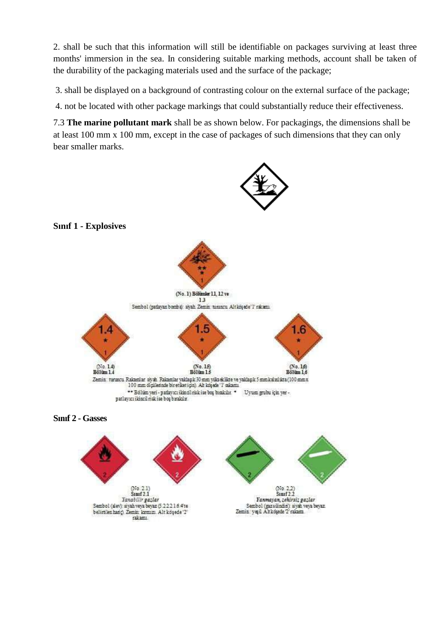2. shall be such that this information will still be identifiable on packages surviving at least three months' immersion in the sea. In considering suitable marking methods, account shall be taken of the durability of the packaging materials used and the surface of the package;

3. shall be displayed on a background of contrasting colour on the external surface of the package;

4. not be located with other package markings that could substantially reduce their effectiveness.

7.3 **The marine pollutant mark** shall be as shown below. For packagings, the dimensions shall be at least 100 mm x 100 mm, except in the case of packages of such dimensions that they can only bear smaller marks.

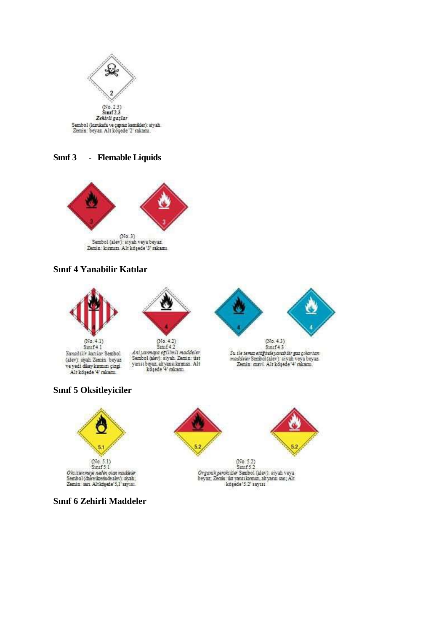

**Sınıf 3 - Flemable Liquids**



# **Sınıf 4 Yanabilir Katılar**







 $(N_0, 4.2)$ <br>Sinif 4.2 Azi yazmığa eğilimli maddeler<br>Sembol (alev): siyah Zemin üst<br>yansı beyaz, alt yansı konmuzi Alt<br>köşede (4' rakamı



```
Sunif 43\begin{array}{l} \textit{S} \mathfrak{u} \textit{ if } \mathfrak{s} \textit{remas} \textit{entig} \textit{[p} \textit{ulg} \textit{v} \textit{un} \textit{r} \textit{or} \textit{g} \textit{urg} \textit{u} \textit{r} \textit{tar} \textit{tan} \\ \textit{madles} \textit{F} \textit{S} \textit{embol} \textit{(alev)} \textit{.} \textit{siy} \textit{ah} \textit{veya} \textit{beyaz} \\ \textit{Zemin: } \textit{maxvi} \textit{.} \textit{Alt} \textit
```
# **Sınıf 5 Oksitleyiciler**



**Sınıf 6 Zehirli Maddeler**

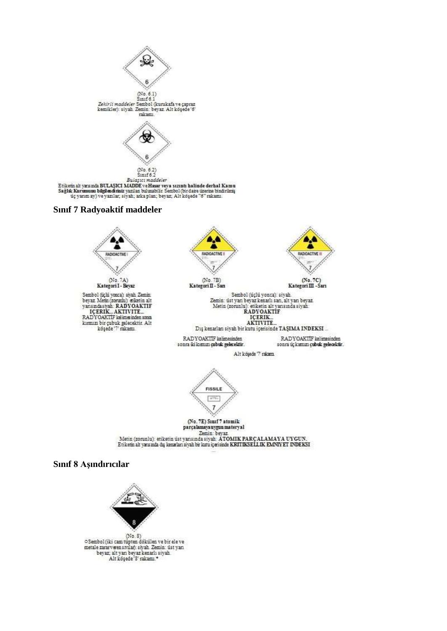

 $(No. 8)$  $\begin{array}{l} \circ \texttt{Sembol}(\texttt{iki cam\! model})\\ \texttt{meta\texttt{zararvwen}}\texttt{swlab}\texttt{.} \texttt{cmin}\texttt{.} \texttt{isit}\texttt{.} \texttt{van}\texttt{.} \texttt{bevar}\texttt{.} \texttt{alt}\texttt{.} \texttt{van}\texttt{.} \end{array}$ Alt köşede '8' rakamı.\*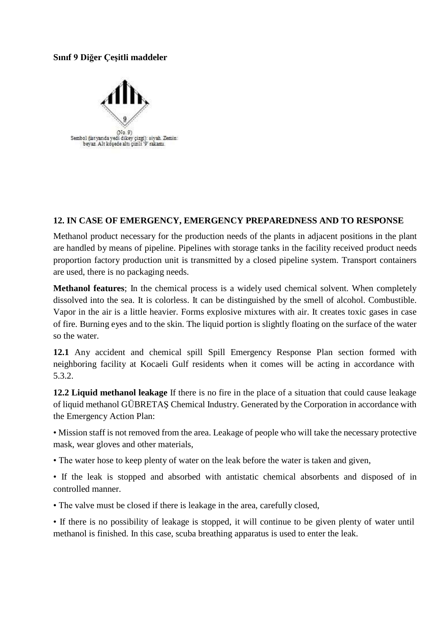#### **Sınıf 9 Diğer Çeşitli maddeler**



#### **12. IN CASE OF EMERGENCY, EMERGENCY PREPAREDNESS AND TO RESPONSE**

Methanol product necessary for the production needs of the plants in adjacent positions in the plant are handled by means of pipeline. Pipelines with storage tanks in the facility received product needs proportion factory production unit is transmitted by a closed pipeline system. Transport containers are used, there is no packaging needs.

**Methanol features**; In the chemical process is a widely used chemical solvent. When completely dissolved into the sea. It is colorless. It can be distinguished by the smell of alcohol. Combustible. Vapor in the air is a little heavier. Forms explosive mixtures with air. It creates toxic gases in case of fire. Burning eyes and to the skin. The liquid portion is slightly floating on the surface of the water so the water.

**12.1** Any accident and chemical spill Spill Emergency Response Plan section formed with neighboring facility at Kocaeli Gulf residents when it comes will be acting in accordance with 5.3.2.

**12.2 Liquid methanol leakage** If there is no fire in the place of a situation that could cause leakage of liquid methanol GÜBRETAŞ Chemical Industry. Generated by the Corporation in accordance with the Emergency Action Plan:

• Mission staff is not removed from the area. Leakage of people who will take the necessary protective mask, wear gloves and other materials,

• The water hose to keep plenty of water on the leak before the water is taken and given,

• If the leak is stopped and absorbed with antistatic chemical absorbents and disposed of in controlled manner.

• The valve must be closed if there is leakage in the area, carefully closed,

• If there is no possibility of leakage is stopped, it will continue to be given plenty of water until methanol is finished. In this case, scuba breathing apparatus is used to enter the leak.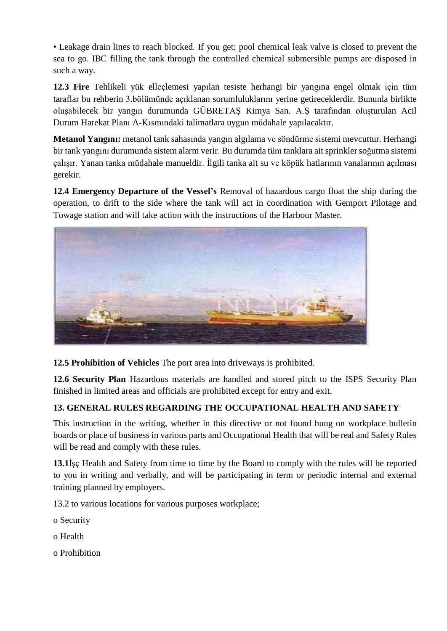• Leakage drain lines to reach blocked. If you get; pool chemical leak valve is closed to prevent the sea to go. IBC filling the tank through the controlled chemical submersible pumps are disposed in such a way.

**12.3 Fire** Tehlikeli yük elleçlemesi yapılan tesiste herhangi bir yangına engel olmak için tüm taraflar bu rehberin 3.bölümünde açıklanan sorumluluklarını yerine getireceklerdir. Bununla birlikte oluşabilecek bir yangın durumunda GÜBRETAŞ Kimya San. A.Ş tarafından oluşturulan Acil Durum Harekat Planı A-Kısmındaki talimatlara uygun müdahale yapılacaktır.

**Metanol Yangını:** metanol tank sahasında yangın algılama ve söndürme sistemi mevcuttur. Herhangi bir tank yangını durumunda sistem alarm verir. Bu durumda tüm tanklara ait sprinkler soğutma sistemi çalışır. Yanan tanka müdahale manueldir. İlgili tanka ait su ve köpük hatlarının vanalarının açılması gerekir.

**12.4 Emergency Departure of the Vessel's** Removal of hazardous cargo float the ship during the operation, to drift to the side where the tank will act in coordination with Gemport Pilotage and Towage station and will take action with the instructions of the Harbour Master.



**12.5 Prohibition of Vehicles** The port area into driveways is prohibited.

**12.6 Security Plan** Hazardous materials are handled and stored pitch to the ISPS Security Plan finished in limited areas and officials are prohibited except for entry and exit.

# **13. GENERAL RULES REGARDING THE OCCUPATIONAL HEALTH AND SAFETY**

This instruction in the writing, whether in this directive or not found hung on workplace bulletin boards or place of business in various parts and Occupational Health that will be real and Safety Rules will be read and comply with these rules.

**13.1**İşç Health and Safety from time to time by the Board to comply with the rules will be reported to you in writing and verbally, and will be participating in term or periodic internal and external training planned by employers.

13.2 to various locations for various purposes workplace;

- o Security
- o Health
- o Prohibition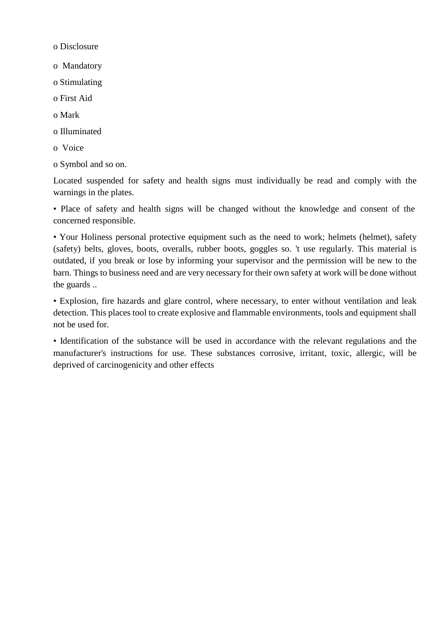o Disclosure

o Mandatory

o Stimulating

o First Aid

o Mark

o Illuminated

o Voice

o Symbol and so on.

Located suspended for safety and health signs must individually be read and comply with the warnings in the plates.

• Place of safety and health signs will be changed without the knowledge and consent of the concerned responsible.

• Your Holiness personal protective equipment such as the need to work; helmets (helmet), safety (safety) belts, gloves, boots, overalls, rubber boots, goggles so. 't use regularly. This material is outdated, if you break or lose by informing your supervisor and the permission will be new to the barn. Things to business need and are very necessary for their own safety at work will be done without the guards ..

• Explosion, fire hazards and glare control, where necessary, to enter without ventilation and leak detection. This places tool to create explosive and flammable environments, tools and equipment shall not be used for.

• Identification of the substance will be used in accordance with the relevant regulations and the manufacturer's instructions for use. These substances corrosive, irritant, toxic, allergic, will be deprived of carcinogenicity and other effects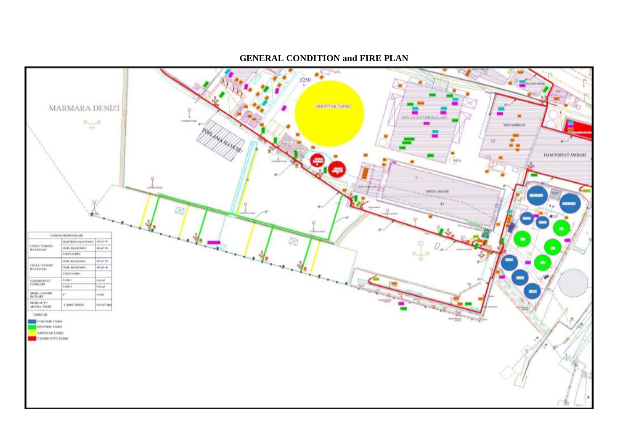**GENERAL CONDITION and FIRE PLAN**

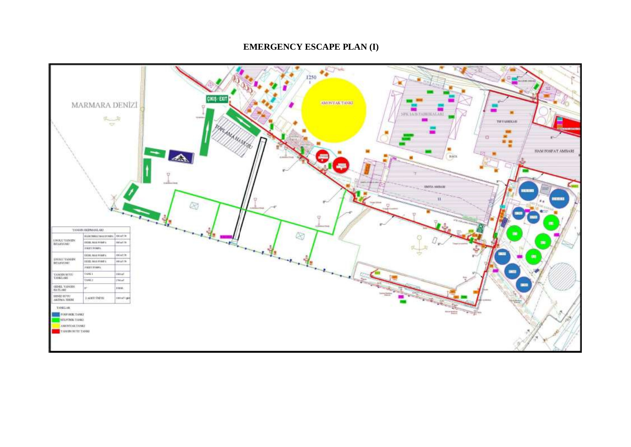#### **EMERGENCY ESCAPE PLAN (I)**